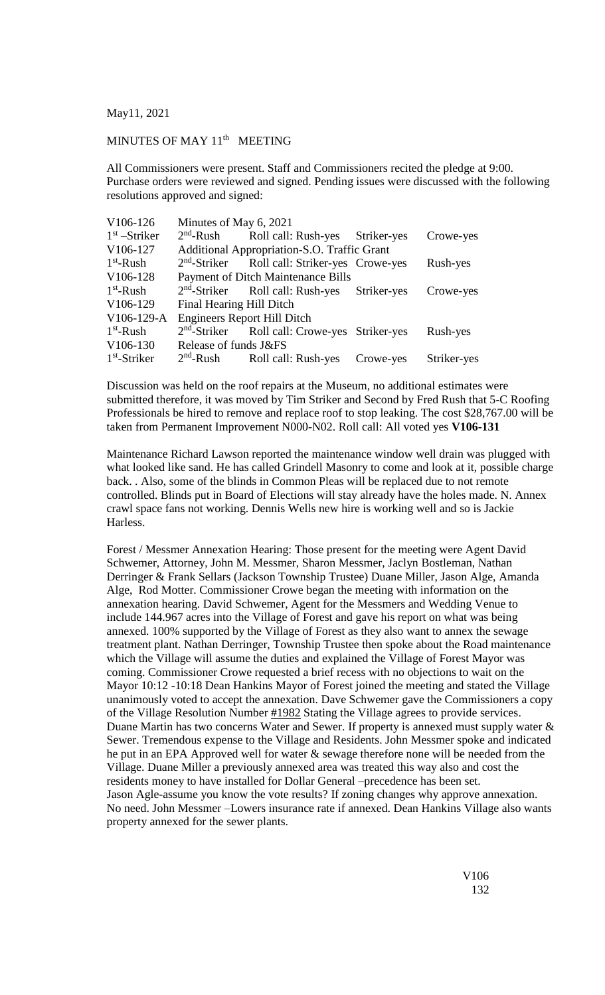May11, 2021

## MINUTES OF MAY 11<sup>th</sup> MEETING

All Commissioners were present. Staff and Commissioners recited the pledge at 9:00. Purchase orders were reviewed and signed. Pending issues were discussed with the following resolutions approved and signed:

| V <sub>106</sub> -126 | Minutes of May 6, 2021                      |                                                           |             |             |
|-----------------------|---------------------------------------------|-----------------------------------------------------------|-------------|-------------|
| $1st$ -Striker        |                                             | 2 <sup>nd</sup> -Rush Roll call: Rush-yes Striker-yes     |             | Crowe-yes   |
| V106-127              | Additional Appropriation-S.O. Traffic Grant |                                                           |             |             |
| $1st$ -Rush           |                                             | 2 <sup>nd</sup> -Striker Roll call: Striker-yes Crowe-yes |             | Rush-yes    |
| V106-128              | <b>Payment of Ditch Maintenance Bills</b>   |                                                           |             |             |
| $1st$ -Rush           |                                             | $2nd$ -Striker Roll call: Rush-yes                        | Striker-yes | Crowe-yes   |
| V106-129              | Final Hearing Hill Ditch                    |                                                           |             |             |
| $V106-129-A$          | <b>Engineers Report Hill Ditch</b>          |                                                           |             |             |
| $1st$ -Rush           |                                             | 2 <sup>nd</sup> -Striker Roll call: Crowe-yes Striker-yes |             | Rush-yes    |
| V106-130              | Release of funds J&FS                       |                                                           |             |             |
| $1st$ -Striker        | $2nd$ -Rush                                 | Roll call: Rush-yes                                       | Crowe-yes   | Striker-yes |

Discussion was held on the roof repairs at the Museum, no additional estimates were submitted therefore, it was moved by Tim Striker and Second by Fred Rush that 5-C Roofing Professionals be hired to remove and replace roof to stop leaking. The cost \$28,767.00 will be taken from Permanent Improvement N000-N02. Roll call: All voted yes **V106-131**

Maintenance Richard Lawson reported the maintenance window well drain was plugged with what looked like sand. He has called Grindell Masonry to come and look at it, possible charge back. . Also, some of the blinds in Common Pleas will be replaced due to not remote controlled. Blinds put in Board of Elections will stay already have the holes made. N. Annex crawl space fans not working. Dennis Wells new hire is working well and so is Jackie Harless.

Forest / Messmer Annexation Hearing: Those present for the meeting were Agent David Schwemer, Attorney, John M. Messmer, Sharon Messmer, Jaclyn Bostleman, Nathan Derringer & Frank Sellars (Jackson Township Trustee) Duane Miller, Jason Alge, Amanda Alge, Rod Motter. Commissioner Crowe began the meeting with information on the annexation hearing. David Schwemer, Agent for the Messmers and Wedding Venue to include 144.967 acres into the Village of Forest and gave his report on what was being annexed. 100% supported by the Village of Forest as they also want to annex the sewage treatment plant. Nathan Derringer, Township Trustee then spoke about the Road maintenance which the Village will assume the duties and explained the Village of Forest Mayor was coming. Commissioner Crowe requested a brief recess with no objections to wait on the Mayor 10:12 -10:18 Dean Hankins Mayor of Forest joined the meeting and stated the Village unanimously voted to accept the annexation. Dave Schwemer gave the Commissioners a copy of the Village Resolution Number #1982 Stating the Village agrees to provide services. Duane Martin has two concerns Water and Sewer. If property is annexed must supply water & Sewer. Tremendous expense to the Village and Residents. John Messmer spoke and indicated he put in an EPA Approved well for water & sewage therefore none will be needed from the Village. Duane Miller a previously annexed area was treated this way also and cost the residents money to have installed for Dollar General –precedence has been set. Jason Agle-assume you know the vote results? If zoning changes why approve annexation. No need. John Messmer –Lowers insurance rate if annexed. Dean Hankins Village also wants property annexed for the sewer plants.